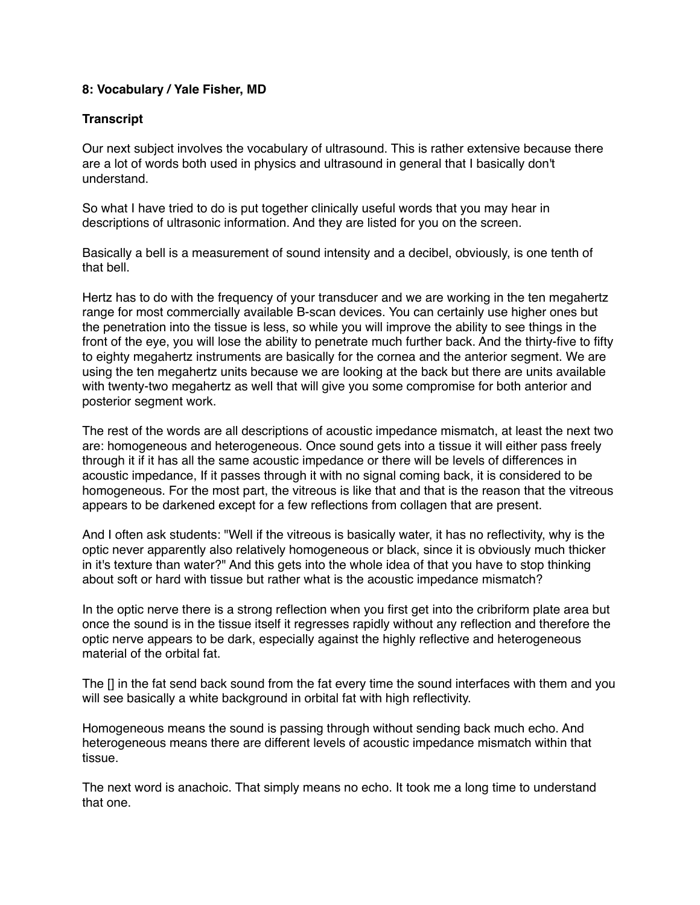## **8: Vocabulary / Yale Fisher, MD**

## **Transcript**

Our next subject involves the vocabulary of ultrasound. This is rather extensive because there are a lot of words both used in physics and ultrasound in general that I basically don't understand.

So what I have tried to do is put together clinically useful words that you may hear in descriptions of ultrasonic information. And they are listed for you on the screen.

Basically a bell is a measurement of sound intensity and a decibel, obviously, is one tenth of that bell.

Hertz has to do with the frequency of your transducer and we are working in the ten megahertz range for most commercially available B-scan devices. You can certainly use higher ones but the penetration into the tissue is less, so while you will improve the ability to see things in the front of the eye, you will lose the ability to penetrate much further back. And the thirty-five to fifty to eighty megahertz instruments are basically for the cornea and the anterior segment. We are using the ten megahertz units because we are looking at the back but there are units available with twenty-two megahertz as well that will give you some compromise for both anterior and posterior segment work.

The rest of the words are all descriptions of acoustic impedance mismatch, at least the next two are: homogeneous and heterogeneous. Once sound gets into a tissue it will either pass freely through it if it has all the same acoustic impedance or there will be levels of differences in acoustic impedance, If it passes through it with no signal coming back, it is considered to be homogeneous. For the most part, the vitreous is like that and that is the reason that the vitreous appears to be darkened except for a few reflections from collagen that are present.

And I often ask students: "Well if the vitreous is basically water, it has no reflectivity, why is the optic never apparently also relatively homogeneous or black, since it is obviously much thicker in it's texture than water?" And this gets into the whole idea of that you have to stop thinking about soft or hard with tissue but rather what is the acoustic impedance mismatch?

In the optic nerve there is a strong reflection when you first get into the cribriform plate area but once the sound is in the tissue itself it regresses rapidly without any reflection and therefore the optic nerve appears to be dark, especially against the highly reflective and heterogeneous material of the orbital fat.

The [] in the fat send back sound from the fat every time the sound interfaces with them and you will see basically a white background in orbital fat with high reflectivity.

Homogeneous means the sound is passing through without sending back much echo. And heterogeneous means there are different levels of acoustic impedance mismatch within that tissue.

The next word is anachoic. That simply means no echo. It took me a long time to understand that one.